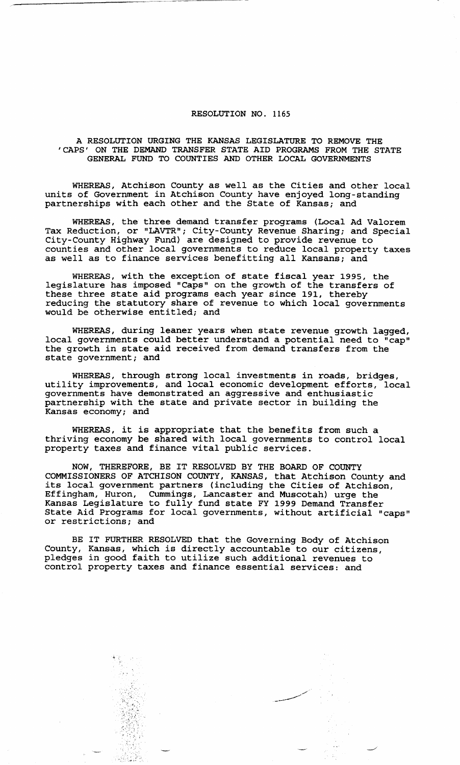## **RESOLUTION NO. 1165**

**A RESOLUTION URGING THE KANSAS LEGISLATURE TO REMOVE THE 'CAPS' ON THE DEMAND TRANSFER STATE AID PROGRAMS FROM THE STATE GENERAL FUND TO COUNTIES AND OTHER LOCAL GOVERNMENTS** 

**WHEREAS, Atchison County as well as the Cities and other local units of Government in Atchison County have enjoyed long-standing partnerships with each other and the State of Kansas; and** 

**WHEREAS, the three demand transfer programs (Local Ad Valorem Tax Reduction, or "LAVTR"; City-County Revenue Sharing; and Special City-County Highway Fund) are designed to provide revenue to counties and other local governments to reduce local property taxes as well as to finance services benefitting all Kansans; and** 

**WHEREAS, with the exception of state fiscal year 1995, the legislature has imposed "Caps" on the growth of the transfers of these three state aid programs each year since 191, thereby reducing the statutory share of revenue to which local governments would be otherwise entitled; and** 

**WHEREAS, during leaner years when state revenue growth lagged, local governments could better understand a potential need to "cap" the growth in state aid received from demand transfers from the state government; and** 

**WHEREAS, through strong local investments in roads, bridges, utility improvements, and local economic development efforts, local governments have demonstrated an aggressive and enthusiastic partnership with the state and private sector in building the Kansas economy; and** 

**WHEREAS, it is appropriate that the benefits from such a thriving economy be shared with local governments to control local property taxes and finance vital public services.** 

**NOW, THEREFORE, BE IT RESOLVED BY THE BOARD OF COUNTY COMMISSIONERS OF ATCHISON COUNTY, KANSAS,** that Atchison **County and its local government partners (including the Cities of Atchison, Effingham, Huron, Cummings, Lancaster and Muscotah) urge** the **Kansas Legislature to fully fund state FY 1999 Demand Transfer State Aid Programs for local governments, without artificial "caps" or restrictions; and** 

**BE IT FURTHER RESOLVED that the Governing Body of Atchison County, Kansas, which is directly accountable to our citizens, pledges in good faith to utilize such additional revenues to control property taxes and finance essential services: and** 

with a